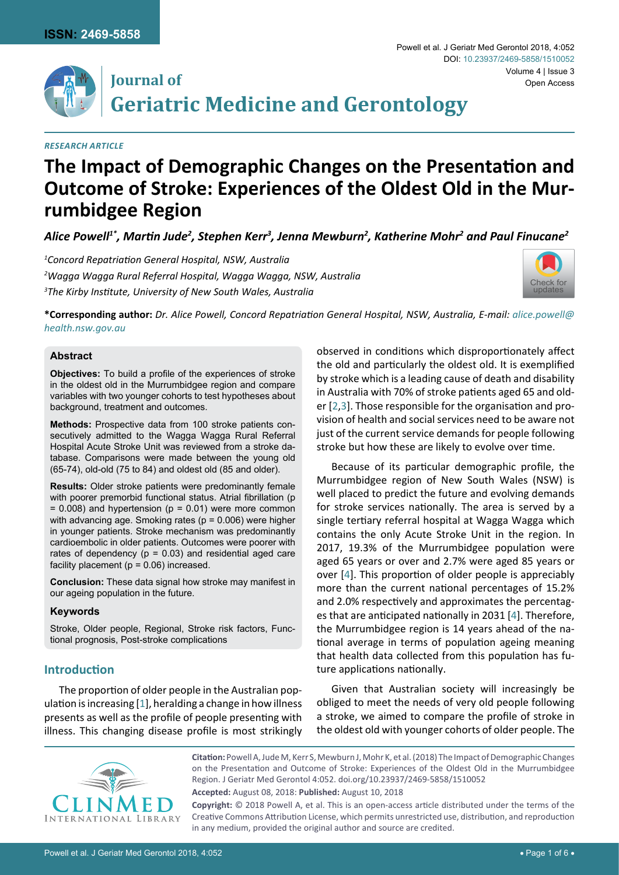



# **Journal of Geriatric Medicine and Gerontology**

## *Research Article*

# **The Impact of Demographic Changes on the Presentation and Outcome of Stroke: Experiences of the Oldest Old in the Murrumbidgee Region**

Alice Powell<sup>1\*</sup>, Martin Jude<sup>2</sup>, Stephen Kerr<sup>3</sup>, Jenna Mewburn<sup>2</sup>, Katherine Mohr<sup>2</sup> and Paul Finucane<sup>2</sup>

*1 Concord Repatriation General Hospital, NSW, Australia 2 Wagga Wagga Rural Referral Hospital, Wagga Wagga, NSW, Australia 3 The Kirby Institute, University of New South Wales, Australia*



**\*Corresponding author:** *Dr. Alice Powell, Concord Repatriation General Hospital, NSW, Australia, E-mail: [alice.powell@](mailto:alice.powell@health.nsw.gov.au) [health.nsw.gov.au](mailto:alice.powell@health.nsw.gov.au)*

## **Abstract**

**Objectives:** To build a profile of the experiences of stroke in the oldest old in the Murrumbidgee region and compare variables with two younger cohorts to test hypotheses about background, treatment and outcomes.

**Methods:** Prospective data from 100 stroke patients consecutively admitted to the Wagga Wagga Rural Referral Hospital Acute Stroke Unit was reviewed from a stroke database. Comparisons were made between the young old (65-74), old-old (75 to 84) and oldest old (85 and older).

**Results:** Older stroke patients were predominantly female with poorer premorbid functional status. Atrial fibrillation (p  $= 0.008$ ) and hypertension ( $p = 0.01$ ) were more common with advancing age. Smoking rates ( $p = 0.006$ ) were higher in younger patients. Stroke mechanism was predominantly cardioembolic in older patients. Outcomes were poorer with rates of dependency ( $p = 0.03$ ) and residential aged care facility placement ( $p = 0.06$ ) increased.

**Conclusion:** These data signal how stroke may manifest in our ageing population in the future.

#### **Keywords**

Stroke, Older people, Regional, Stroke risk factors, Functional prognosis, Post-stroke complications

## **Introduction**

The proportion of older people in the Australian population is increasing [[1\]](#page-5-3), heralding a change in how illness presents as well as the profile of people presenting with illness. This changing disease profile is most strikingly observed in conditions which disproportionately affect the old and particularly the oldest old. It is exemplified by stroke which is a leading cause of death and disability in Australia with 70% of stroke patients aged 65 and older [[2](#page-5-0),[3\]](#page-5-1). Those responsible for the organisation and provision of health and social services need to be aware not just of the current service demands for people following stroke but how these are likely to evolve over time.

Because of its particular demographic profile, the Murrumbidgee region of New South Wales (NSW) is well placed to predict the future and evolving demands for stroke services nationally. The area is served by a single tertiary referral hospital at Wagga Wagga which contains the only Acute Stroke Unit in the region. In 2017, 19.3% of the Murrumbidgee population were aged 65 years or over and 2.7% were aged 85 years or over [[4](#page-5-2)]. This proportion of older people is appreciably more than the current national percentages of 15.2% and 2.0% respectively and approximates the percentages that are anticipated nationally in 2031 [[4](#page-5-2)]. Therefore, the Murrumbidgee region is 14 years ahead of the national average in terms of population ageing meaning that health data collected from this population has future applications nationally.

Given that Australian society will increasingly be obliged to meet the needs of very old people following a stroke, we aimed to compare the profile of stroke in the oldest old with younger cohorts of older people. The



**Citation:** Powell A, Jude M, Kerr S, Mewburn J, Mohr K, et al. (2018) The Impact of Demographic Changes on the Presentation and Outcome of Stroke: Experiences of the Oldest Old in the Murrumbidgee Region. J Geriatr Med Gerontol 4:052. [doi.org/10.23937/2469-5858/1510052](https://doi.org/10.23937/2469-5858/1510052)

**Accepted:** August 08, 2018: **Published:** August 10, 2018

**Copyright:** © 2018 Powell A, et al. This is an open-access article distributed under the terms of the Creative Commons Attribution License, which permits unrestricted use, distribution, and reproduction in any medium, provided the original author and source are credited.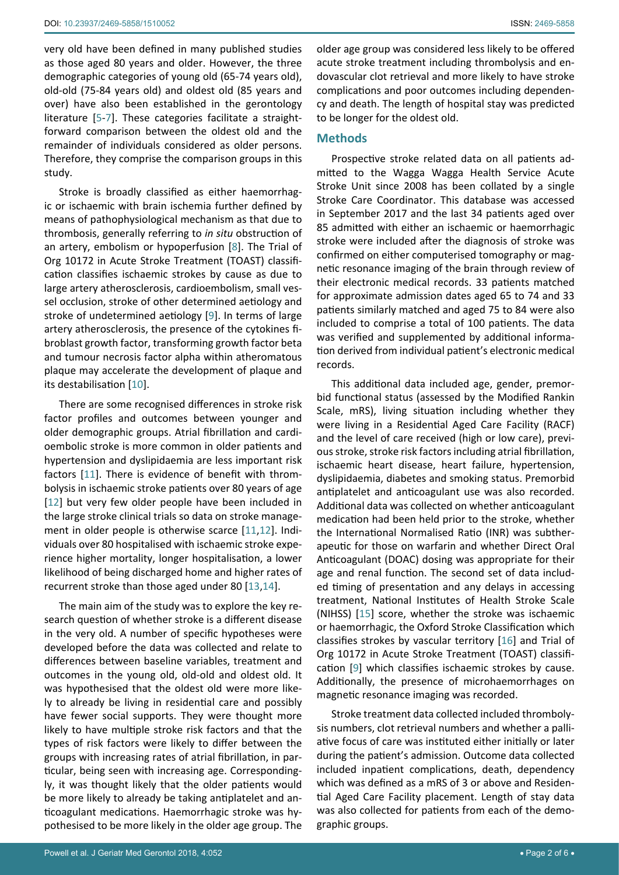very old have been defined in many published studies as those aged 80 years and older. However, the three demographic categories of young old (65-74 years old), old-old (75-84 years old) and oldest old (85 years and over) have also been established in the gerontology literature [[5](#page-5-7)[-7](#page-5-8)]. These categories facilitate a straightforward comparison between the oldest old and the remainder of individuals considered as older persons. Therefore, they comprise the comparison groups in this study.

Stroke is broadly classified as either haemorrhagic or ischaemic with brain ischemia further defined by means of pathophysiological mechanism as that due to thrombosis, generally referring to *in situ* obstruction of an artery, embolism or hypoperfusion [[8\]](#page-5-9). The Trial of Org 10172 in Acute Stroke Treatment (TOAST) classification classifies ischaemic strokes by cause as due to large artery atherosclerosis, cardioembolism, small vessel occlusion, stroke of other determined aetiology and stroke of undetermined aetiology [[9](#page-5-6)]. In terms of large artery atherosclerosis, the presence of the cytokines fibroblast growth factor, transforming growth factor beta and tumour necrosis factor alpha within atheromatous plaque may accelerate the development of plaque and its destabilisation [[10\]](#page-5-10).

There are some recognised differences in stroke risk factor profiles and outcomes between younger and older demographic groups. Atrial fibrillation and cardioembolic stroke is more common in older patients and hypertension and dyslipidaemia are less important risk factors [[11](#page-5-11)]. There is evidence of benefit with thrombolysis in ischaemic stroke patients over 80 years of age [[12](#page-5-12)] but very few older people have been included in the large stroke clinical trials so data on stroke management in older people is otherwise scarce [[11,](#page-5-11)[12\]](#page-5-12). Individuals over 80 hospitalised with ischaemic stroke experience higher mortality, longer hospitalisation, a lower likelihood of being discharged home and higher rates of recurrent stroke than those aged under 80 [[13](#page-5-13),[14\]](#page-5-14).

The main aim of the study was to explore the key research question of whether stroke is a different disease in the very old. A number of specific hypotheses were developed before the data was collected and relate to differences between baseline variables, treatment and outcomes in the young old, old-old and oldest old. It was hypothesised that the oldest old were more likely to already be living in residential care and possibly have fewer social supports. They were thought more likely to have multiple stroke risk factors and that the types of risk factors were likely to differ between the groups with increasing rates of atrial fibrillation, in particular, being seen with increasing age. Correspondingly, it was thought likely that the older patients would be more likely to already be taking antiplatelet and anticoagulant medications. Haemorrhagic stroke was hypothesised to be more likely in the older age group. The older age group was considered less likely to be offered acute stroke treatment including thrombolysis and endovascular clot retrieval and more likely to have stroke complications and poor outcomes including dependency and death. The length of hospital stay was predicted to be longer for the oldest old.

## **Methods**

Prospective stroke related data on all patients admitted to the Wagga Wagga Health Service Acute Stroke Unit since 2008 has been collated by a single Stroke Care Coordinator. This database was accessed in September 2017 and the last 34 patients aged over 85 admitted with either an ischaemic or haemorrhagic stroke were included after the diagnosis of stroke was confirmed on either computerised tomography or magnetic resonance imaging of the brain through review of their electronic medical records. 33 patients matched for approximate admission dates aged 65 to 74 and 33 patients similarly matched and aged 75 to 84 were also included to comprise a total of 100 patients. The data was verified and supplemented by additional information derived from individual patient's electronic medical records.

This additional data included age, gender, premorbid functional status (assessed by the Modified Rankin Scale, mRS), living situation including whether they were living in a Residential Aged Care Facility (RACF) and the level of care received (high or low care), previous stroke, stroke risk factors including atrial fibrillation, ischaemic heart disease, heart failure, hypertension, dyslipidaemia, diabetes and smoking status. Premorbid antiplatelet and anticoagulant use was also recorded. Additional data was collected on whether anticoagulant medication had been held prior to the stroke, whether the International Normalised Ratio (INR) was subtherapeutic for those on warfarin and whether Direct Oral Anticoagulant (DOAC) dosing was appropriate for their age and renal function. The second set of data included timing of presentation and any delays in accessing treatment, National Institutes of Health Stroke Scale (NIHSS) [[15\]](#page-5-4) score, whether the stroke was ischaemic or haemorrhagic, the Oxford Stroke Classification which classifies strokes by vascular territory [\[16](#page-5-5)] and Trial of Org 10172 in Acute Stroke Treatment (TOAST) classification [[9](#page-5-6)] which classifies ischaemic strokes by cause. Additionally, the presence of microhaemorrhages on magnetic resonance imaging was recorded.

Stroke treatment data collected included thrombolysis numbers, clot retrieval numbers and whether a palliative focus of care was instituted either initially or later during the patient's admission. Outcome data collected included inpatient complications, death, dependency which was defined as a mRS of 3 or above and Residential Aged Care Facility placement. Length of stay data was also collected for patients from each of the demographic groups.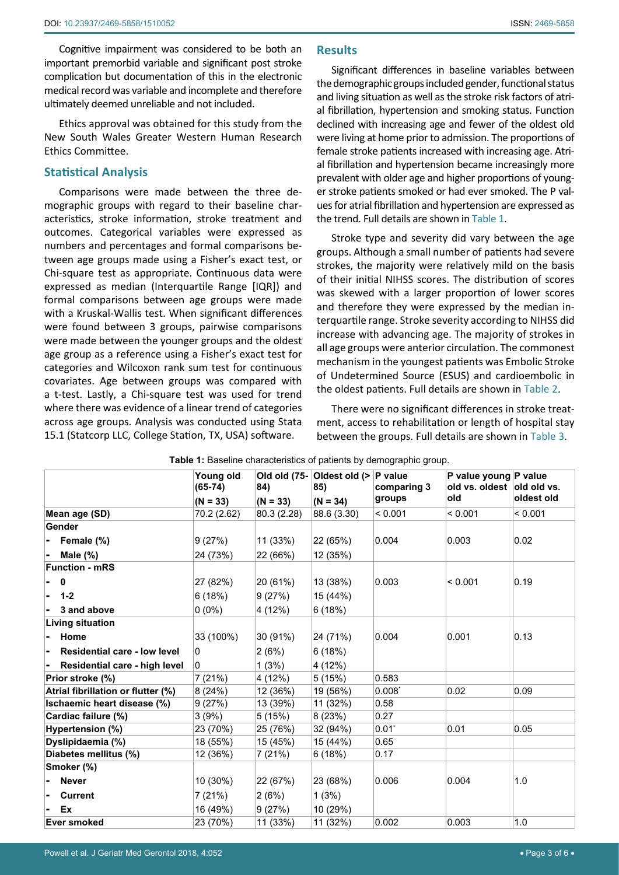Cognitive impairment was considered to be both an important premorbid variable and significant post stroke complication but documentation of this in the electronic medical record was variable and incomplete and therefore ultimately deemed unreliable and not included.

Ethics approval was obtained for this study from the New South Wales Greater Western Human Research Ethics Committee.

# **Statistical Analysis**

Comparisons were made between the three demographic groups with regard to their baseline characteristics, stroke information, stroke treatment and outcomes. Categorical variables were expressed as numbers and percentages and formal comparisons between age groups made using a Fisher's exact test, or Chi-square test as appropriate. Continuous data were expressed as median (Interquartile Range [IQR]) and formal comparisons between age groups were made with a Kruskal-Wallis test. When significant differences were found between 3 groups, pairwise comparisons were made between the younger groups and the oldest age group as a reference using a Fisher's exact test for categories and Wilcoxon rank sum test for continuous covariates. Age between groups was compared with a t-test. Lastly, a Chi-square test was used for trend where there was evidence of a linear trend of categories across age groups. Analysis was conducted using Stata 15.1 (Statcorp LLC, College Station, TX, USA) software.

# **Results**

Significant differences in baseline variables between the demographic groups included gender, functional status and living situation as well as the stroke risk factors of atrial fibrillation, hypertension and smoking status. Function declined with increasing age and fewer of the oldest old were living at home prior to admission. The proportions of female stroke patients increased with increasing age. Atrial fibrillation and hypertension became increasingly more prevalent with older age and higher proportions of younger stroke patients smoked or had ever smoked. The P values for atrial fibrillation and hypertension are expressed as the trend. Full details are shown in [Table 1.](#page-2-0)

Stroke type and severity did vary between the age groups. Although a small number of patients had severe strokes, the majority were relatively mild on the basis of their initial NIHSS scores. The distribution of scores was skewed with a larger proportion of lower scores and therefore they were expressed by the median interquartile range. Stroke severity according to NIHSS did increase with advancing age. The majority of strokes in all age groups were anterior circulation. The commonest mechanism in the youngest patients was Embolic Stroke of Undetermined Source (ESUS) and cardioembolic in the oldest patients. Full details are shown in [Table 2.](#page-3-0)

There were no significant differences in stroke treatment, access to rehabilitation or length of hospital stay between the groups. Full details are shown in [Table 3](#page-3-1).

|                                     | Young old<br>$(65-74)$ | 84)         | Old old (75- Oldest old (><br>85) | P value<br>comparing 3 | P value young P value<br>old vs. oldest old old vs. |            |
|-------------------------------------|------------------------|-------------|-----------------------------------|------------------------|-----------------------------------------------------|------------|
|                                     | $(N = 33)$             | $(N = 33)$  | $(N = 34)$                        | groups                 | old                                                 | oldest old |
| Mean age (SD)                       | 70.2 (2.62)            | 80.3 (2.28) | 88.6 (3.30)                       | < 0.001                | < 0.001                                             | < 0.001    |
| Gender                              |                        |             |                                   |                        |                                                     |            |
| Female (%)                          | 9(27%)                 | 11 (33%)    | 22 (65%)                          | 0.004                  | 0.003                                               | 0.02       |
| Male $(\%)$                         | 24 (73%)               | 22 (66%)    | 12 (35%)                          |                        |                                                     |            |
| <b>Function - mRS</b>               |                        |             |                                   |                        |                                                     |            |
| $\mathbf{0}$                        | 27 (82%)               | 20 (61%)    | 13 (38%)                          | 0.003                  | < 0.001                                             | 0.19       |
| $1 - 2$                             | 6(18%)                 | 9(27%)      | 15 (44%)                          |                        |                                                     |            |
| 3 and above                         | $0(0\%)$               | 4 (12%)     | 6(18%)                            |                        |                                                     |            |
| <b>Living situation</b>             |                        |             |                                   |                        |                                                     |            |
| Home                                | 33 (100%)              | 30 (91%)    | 24 (71%)                          | 0.004                  | 0.001                                               | 0.13       |
| <b>Residential care - low level</b> | 0                      | 2(6%)       | 6(18%)                            |                        |                                                     |            |
| Residential care - high level       | 0                      | 1(3%)       | 4 (12%)                           |                        |                                                     |            |
| Prior stroke (%)                    | 7(21%)                 | 4 (12%)     | 5(15%)                            | 0.583                  |                                                     |            |
| Atrial fibrillation or flutter (%)  | 8(24%)                 | 12 (36%)    | 19 (56%)                          | $0.008^*$              | 0.02                                                | 0.09       |
| Ischaemic heart disease (%)         | 9(27%)                 | 13 (39%)    | 11 (32%)                          | 0.58                   |                                                     |            |
| Cardiac failure (%)                 | 3(9%)                  | 5(15%)      | 8(23%)                            | 0.27                   |                                                     |            |
| Hypertension (%)                    | 23 (70%)               | 25 (76%)    | 32 (94%)                          | $0.01^*$               | 0.01                                                | 0.05       |
| Dyslipidaemia (%)                   | 18 (55%)               | 15 (45%)    | 15 (44%)                          | 0.65                   |                                                     |            |
| Diabetes mellitus (%)               | 12 (36%)               | 7(21%)      | 6(18%)                            | 0.17                   |                                                     |            |
| Smoker (%)                          |                        |             |                                   |                        |                                                     |            |
| <b>Never</b>                        | $10(30\%)$             | 22 (67%)    | 23 (68%)                          | 0.006                  | 0.004                                               | 1.0        |
| <b>Current</b>                      | 7 (21%)                | 2(6%)       | 1(3%)                             |                        |                                                     |            |
| Ex                                  | 16 (49%)               | 9(27%)      | 10 (29%)                          |                        |                                                     |            |
| <b>Ever smoked</b>                  | 23 (70%)               | 11 (33%)    | 11 (32%)                          | 0.002                  | 0.003                                               | 1.0        |

<span id="page-2-0"></span>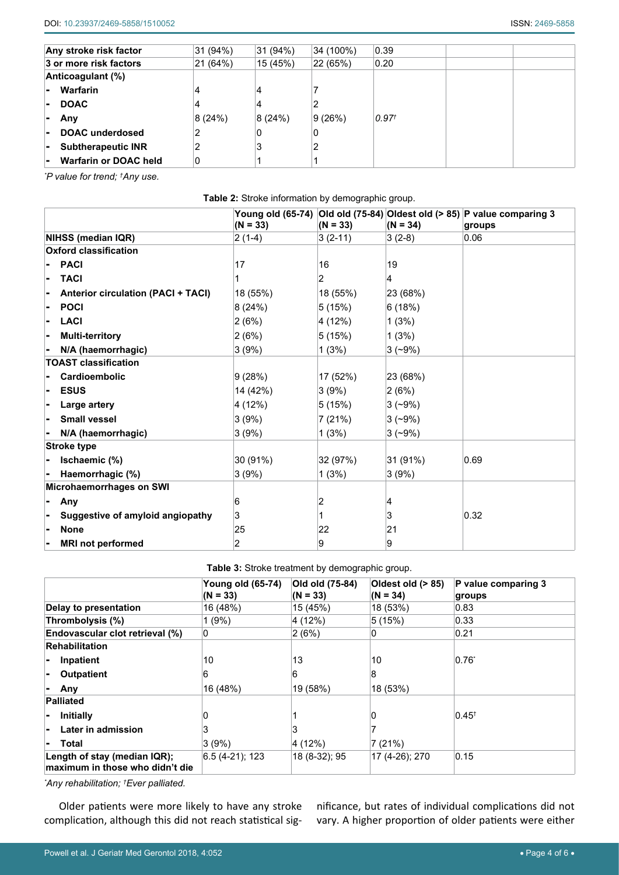| Any stroke risk factor             | 31 (94%) | 31 (94%) | 34 (100%) | 0.39              |  |
|------------------------------------|----------|----------|-----------|-------------------|--|
| 3 or more risk factors             | 21 (64%) | 15 (45%) | 22 (65%)  | 0.20              |  |
| Anticoagulant (%)                  |          |          |           |                   |  |
| Warfarin<br>۰.                     |          | 4        |           |                   |  |
| <b>DOAC</b><br>н.                  |          | 4        | 2         |                   |  |
| Any<br>$\blacksquare$              | 8(24%)   | 8(24%)   | 9(26%)    | 0.97 <sup>†</sup> |  |
| <b>DOAC</b> underdosed<br>ь.       |          | 0        | 0         |                   |  |
| <b>Subtherapeutic INR</b><br>Ξ.    |          | 3        | 2         |                   |  |
| <b>Warfarin or DOAC held</b><br>۰. | 0        |          |           |                   |  |

*\* P value for trend; † Any use.*

<span id="page-3-0"></span>

| Table 2: Stroke information by demographic group. |  |
|---------------------------------------------------|--|
|---------------------------------------------------|--|

|                                           | $(N = 33)$ | $(N = 33)$     | $(N = 34)$ | Young old (65-74) Old old (75-84) Oldest old (> 85) P value comparing 3<br>groups |
|-------------------------------------------|------------|----------------|------------|-----------------------------------------------------------------------------------|
| NIHSS (median IQR)                        | $2(1-4)$   | $3(2-11)$      | $3(2-8)$   | 0.06                                                                              |
| <b>Oxford classification</b>              |            |                |            |                                                                                   |
| <b>PACI</b>                               | 17         | 16             | 19         |                                                                                   |
| <b>TACI</b>                               |            | $\overline{2}$ | 4          |                                                                                   |
| <b>Anterior circulation (PACI + TACI)</b> | 18 (55%)   | 18 (55%)       | 23 (68%)   |                                                                                   |
| <b>POCI</b>                               | 8(24%)     | 5(15%)         | 6(18%)     |                                                                                   |
| LACI                                      | 2(6%)      | 4 (12%)        | 1(3%)      |                                                                                   |
| <b>Multi-territory</b>                    | 2(6%)      | 5(15%)         | 1(3%)      |                                                                                   |
| N/A (haemorrhagic)                        | 3(9%)      | 1(3%)          | $3(-9%)$   |                                                                                   |
| <b>TOAST classification</b>               |            |                |            |                                                                                   |
| Cardioembolic                             | 9(28%)     | 17 (52%)       | 23 (68%)   |                                                                                   |
| <b>ESUS</b>                               | 14 (42%)   | 3(9%)          | 2(6%)      |                                                                                   |
| Large artery                              | 4 (12%)    | 5(15%)         | $3(-9%)$   |                                                                                   |
| <b>Small vessel</b>                       | 3(9%)      | 7(21%)         | $3(-9%)$   |                                                                                   |
| N/A (haemorrhagic)                        | 3(9%)      | 1(3%)          | $3(-9%)$   |                                                                                   |
| Stroke type                               |            |                |            |                                                                                   |
| Ischaemic (%)                             | 30 (91%)   | 32 (97%)       | 31 (91%)   | 0.69                                                                              |
| Haemorrhagic (%)                          | 3(9%)      | 1(3%)          | 3(9%)      |                                                                                   |
| Microhaemorrhages on SWI                  |            |                |            |                                                                                   |
| Any                                       | 6          | 2              | 4          |                                                                                   |
| Suggestive of amyloid angiopathy          | 3          |                | 3          | 0.32                                                                              |
| <b>None</b>                               | 25         | 22             | 21         |                                                                                   |
| <b>MRI not performed</b>                  | 2          | 9              | 9          |                                                                                   |

<span id="page-3-1"></span>**Table 3:** Stroke treatment by demographic group.

|                                                                 | <b>Young old (65-74)</b><br>$(N = 33)$ | Old old (75-84)<br>$(N = 33)$ | Oldest old (> 85)<br>$(N = 34)$ | P value comparing 3<br>groups |
|-----------------------------------------------------------------|----------------------------------------|-------------------------------|---------------------------------|-------------------------------|
| Delay to presentation                                           | 16 (48%)                               | 15 (45%)                      | 18 (53%)                        | 0.83                          |
| Thrombolysis (%)                                                | 1(9%)                                  | 4 (12%)                       | 5(15%)                          | 0.33                          |
| Endovascular clot retrieval (%)                                 | 0                                      | 2(6%)                         | 0                               | 0.21                          |
| <b>Rehabilitation</b>                                           |                                        |                               |                                 |                               |
| Inpatient<br>$\blacksquare$                                     | 10                                     | 13                            | 10                              | $0.76^{\circ}$                |
| <b>Outpatient</b><br>$\blacksquare$                             | 6                                      | 6                             | 8                               |                               |
| Any                                                             | 16 (48%)                               | 19 (58%)                      | 18 (53%)                        |                               |
| <b>Palliated</b>                                                |                                        |                               |                                 |                               |
| <b>Initially</b>                                                | 0                                      |                               | 0                               | $0.45^+$                      |
| Later in admission                                              | 3                                      | 3                             |                                 |                               |
| Total<br>$\blacksquare$                                         | 3(9%)                                  | 4 (12%)                       | 7(21%)                          |                               |
| Length of stay (median IQR);<br>maximum in those who didn't die | 6.5 (4-21); 123                        | 18 (8-32); 95                 | 17 (4-26); 270                  | 0.15                          |

*\* Any rehabilitation; † Ever palliated.*

Older patients were more likely to have any stroke complication, although this did not reach statistical sig-

nificance, but rates of individual complications did not vary. A higher proportion of older patients were either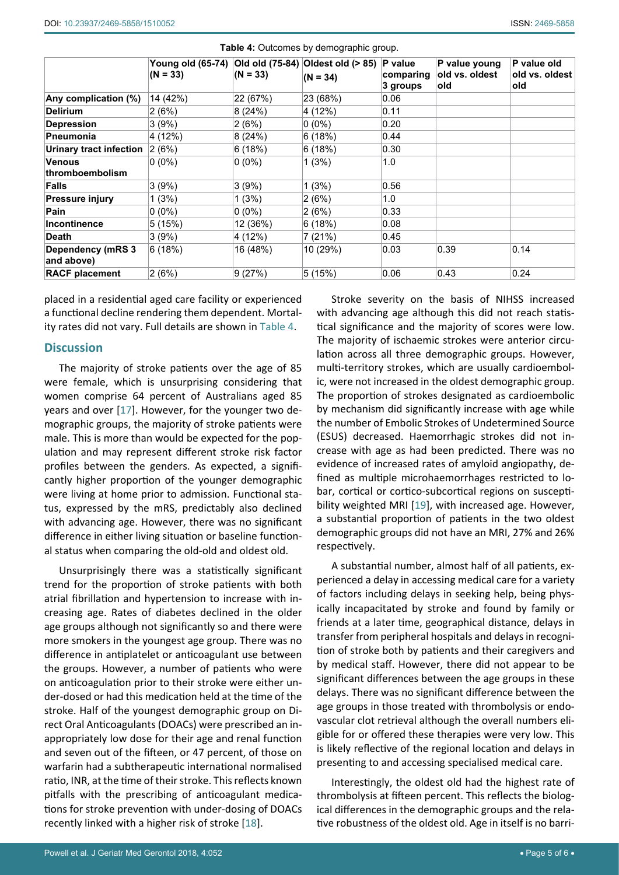|                                        | Young old (65-74) Old old (75-84) Oldest old (> 85) P value<br>$(N = 33)$ | $(N = 33)$ | $(N = 34)$ | comparing<br>3 groups | P value young<br>old vs. oldest<br>old | P value old<br>old vs. oldest<br>old |
|----------------------------------------|---------------------------------------------------------------------------|------------|------------|-----------------------|----------------------------------------|--------------------------------------|
| Any complication (%)                   | 14 (42%)                                                                  | 22 (67%)   | 23 (68%)   | 0.06                  |                                        |                                      |
| <b>Delirium</b>                        | 2(6%)                                                                     | 8(24%)     | 4 (12%)    | 0.11                  |                                        |                                      |
| <b>Depression</b>                      | 3(9%)                                                                     | 2(6%)      | $0(0\%)$   | 0.20                  |                                        |                                      |
| <b>Pneumonia</b>                       | 4 (12%)                                                                   | 8(24%)     | 6(18%)     | 0.44                  |                                        |                                      |
| <b>Urinary tract infection</b>         | 2(6%)                                                                     | 6(18%)     | 6(18%)     | 0.30                  |                                        |                                      |
| <b>Venous</b><br>thromboembolism       | $0(0\%)$                                                                  | $0(0\%)$   | 1(3%)      | 1.0                   |                                        |                                      |
| <b>Falls</b>                           | 3(9%)                                                                     | 3(9%)      | 1(3%)      | 0.56                  |                                        |                                      |
| Pressure injury                        | 1(3%)                                                                     | 1(3%)      | 2(6%)      | 1.0                   |                                        |                                      |
| Pain                                   | $0(0\%)$                                                                  | $0(0\%)$   | 2(6%)      | 0.33                  |                                        |                                      |
| <b>Incontinence</b>                    | 5(15%)                                                                    | 12 (36%)   | 6(18%)     | 0.08                  |                                        |                                      |
| <b>Death</b>                           | 3(9%)                                                                     | 4 (12%)    | 7 (21%)    | 0.45                  |                                        |                                      |
| <b>Dependency (mRS 3</b><br>and above) | 6(18%)                                                                    | 16 (48%)   | 10 (29%)   | 0.03                  | 0.39                                   | 0.14                                 |
| <b>RACF placement</b>                  | 2(6%)                                                                     | 9(27%)     | 5(15%)     | 0.06                  | 0.43                                   | 0.24                                 |

<span id="page-4-0"></span>**Table 4:** Outcomes by demographic group.

placed in a residential aged care facility or experienced a functional decline rendering them dependent. Mortality rates did not vary. Full details are shown in [Table 4.](#page-4-0)

# **Discussion**

The majority of stroke patients over the age of 85 were female, which is unsurprising considering that women comprise 64 percent of Australians aged 85 years and over [[17\]](#page-5-16). However, for the younger two demographic groups, the majority of stroke patients were male. This is more than would be expected for the population and may represent different stroke risk factor profiles between the genders. As expected, a significantly higher proportion of the younger demographic were living at home prior to admission. Functional status, expressed by the mRS, predictably also declined with advancing age. However, there was no significant difference in either living situation or baseline functional status when comparing the old-old and oldest old.

Unsurprisingly there was a statistically significant trend for the proportion of stroke patients with both atrial fibrillation and hypertension to increase with increasing age. Rates of diabetes declined in the older age groups although not significantly so and there were more smokers in the youngest age group. There was no difference in antiplatelet or anticoagulant use between the groups. However, a number of patients who were on anticoagulation prior to their stroke were either under-dosed or had this medication held at the time of the stroke. Half of the youngest demographic group on Direct Oral Anticoagulants (DOACs) were prescribed an inappropriately low dose for their age and renal function and seven out of the fifteen, or 47 percent, of those on warfarin had a subtherapeutic international normalised ratio, INR, at the time of their stroke. This reflects known pitfalls with the prescribing of anticoagulant medications for stroke prevention with under-dosing of DOACs recently linked with a higher risk of stroke [[18](#page-5-17)].

Stroke severity on the basis of NIHSS increased with advancing age although this did not reach statistical significance and the majority of scores were low. The majority of ischaemic strokes were anterior circulation across all three demographic groups. However, multi-territory strokes, which are usually cardioembolic, were not increased in the oldest demographic group. The proportion of strokes designated as cardioembolic by mechanism did significantly increase with age while the number of Embolic Strokes of Undetermined Source (ESUS) decreased. Haemorrhagic strokes did not increase with age as had been predicted. There was no evidence of increased rates of amyloid angiopathy, defined as multiple microhaemorrhages restricted to lobar, cortical or cortico-subcortical regions on susceptibility weighted MRI [[19](#page-5-15)], with increased age. However, a substantial proportion of patients in the two oldest demographic groups did not have an MRI, 27% and 26% respectively.

A substantial number, almost half of all patients, experienced a delay in accessing medical care for a variety of factors including delays in seeking help, being physically incapacitated by stroke and found by family or friends at a later time, geographical distance, delays in transfer from peripheral hospitals and delays in recognition of stroke both by patients and their caregivers and by medical staff. However, there did not appear to be significant differences between the age groups in these delays. There was no significant difference between the age groups in those treated with thrombolysis or endovascular clot retrieval although the overall numbers eligible for or offered these therapies were very low. This is likely reflective of the regional location and delays in presenting to and accessing specialised medical care.

Interestingly, the oldest old had the highest rate of thrombolysis at fifteen percent. This reflects the biological differences in the demographic groups and the relative robustness of the oldest old. Age in itself is no barri